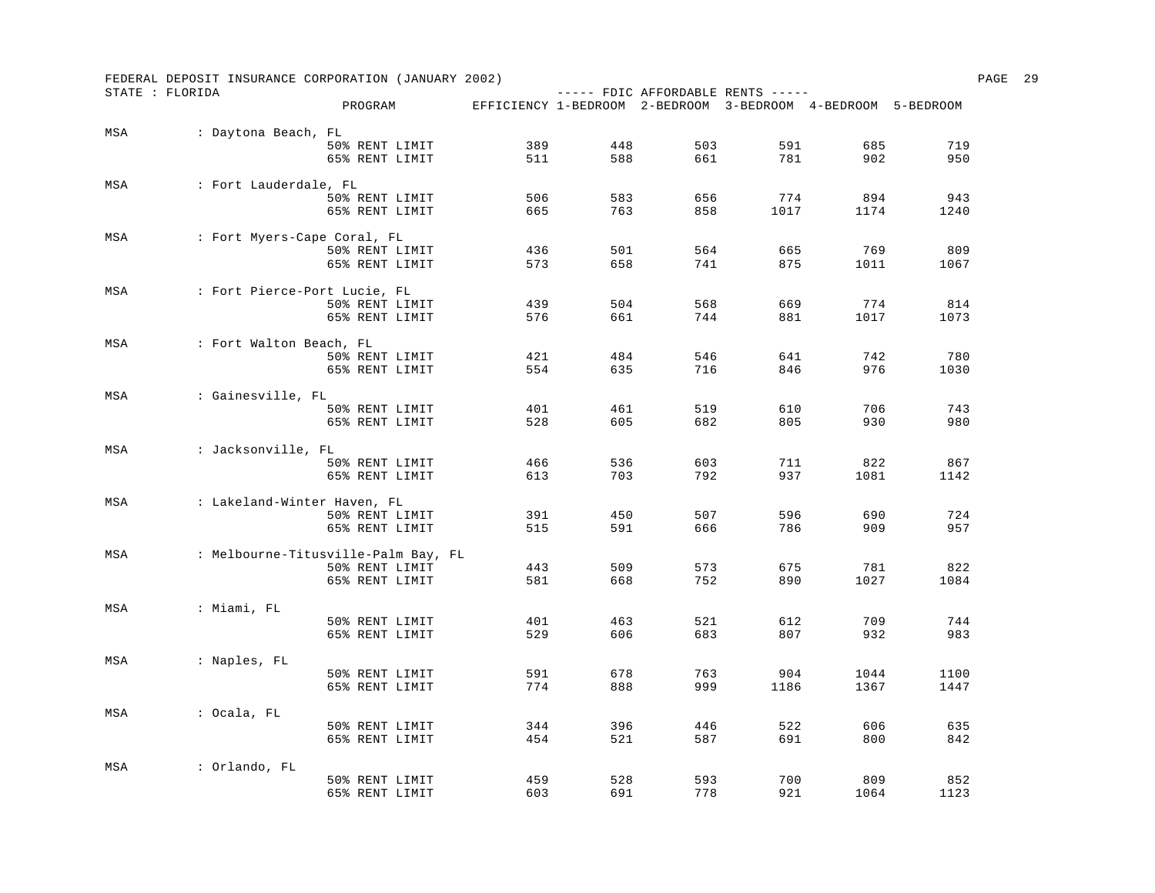|     | FEDERAL DEPOSIT INSURANCE CORPORATION (JANUARY 2002) |                                     |                                                              |     |     |                                   |      |      | PAGE | 29 |
|-----|------------------------------------------------------|-------------------------------------|--------------------------------------------------------------|-----|-----|-----------------------------------|------|------|------|----|
|     | STATE : FLORIDA                                      |                                     |                                                              |     |     | $---$ FDIC AFFORDABLE RENTS $---$ |      |      |      |    |
|     |                                                      | PROGRAM                             | EFFICIENCY 1-BEDROOM 2-BEDROOM 3-BEDROOM 4-BEDROOM 5-BEDROOM |     |     |                                   |      |      |      |    |
| MSA | : Daytona Beach, FL                                  |                                     |                                                              |     |     |                                   |      |      |      |    |
|     |                                                      | 50% RENT LIMIT                      | 389                                                          | 448 | 503 | 591                               | 685  | 719  |      |    |
|     |                                                      | 65% RENT LIMIT                      | 511                                                          | 588 | 661 | 781                               | 902  | 950  |      |    |
| MSA | : Fort Lauderdale, FL                                |                                     |                                                              |     |     |                                   |      |      |      |    |
|     |                                                      | 50% RENT LIMIT                      | 506                                                          | 583 | 656 | 774                               | 894  | 943  |      |    |
|     |                                                      | 65% RENT LIMIT                      | 665                                                          | 763 | 858 | 1017                              | 1174 | 1240 |      |    |
| MSA | : Fort Myers-Cape Coral, FL                          |                                     |                                                              |     |     |                                   |      |      |      |    |
|     |                                                      | 50% RENT LIMIT                      | 436                                                          | 501 | 564 | 665                               | 769  | 809  |      |    |
|     |                                                      | 65% RENT LIMIT                      | 573                                                          | 658 | 741 | 875                               | 1011 | 1067 |      |    |
| MSA | : Fort Pierce-Port Lucie, FL                         |                                     |                                                              |     |     |                                   |      |      |      |    |
|     |                                                      | 50% RENT LIMIT                      | 439                                                          | 504 | 568 | 669                               | 774  | 814  |      |    |
|     |                                                      | 65% RENT LIMIT                      | 576                                                          | 661 | 744 | 881                               | 1017 | 1073 |      |    |
| MSA | : Fort Walton Beach, FL                              |                                     |                                                              |     |     |                                   |      |      |      |    |
|     |                                                      | 50% RENT LIMIT                      | 421                                                          | 484 | 546 | 641                               | 742  | 780  |      |    |
|     |                                                      | 65% RENT LIMIT                      | 554                                                          | 635 | 716 | 846                               | 976  | 1030 |      |    |
| MSA | : Gainesville, FL                                    |                                     |                                                              |     |     |                                   |      |      |      |    |
|     |                                                      | 50% RENT LIMIT                      | 401                                                          | 461 | 519 | 610                               | 706  | 743  |      |    |
|     |                                                      | 65% RENT LIMIT                      | 528                                                          | 605 | 682 | 805                               | 930  | 980  |      |    |
| MSA | : Jacksonville, FL                                   |                                     |                                                              |     |     |                                   |      |      |      |    |
|     |                                                      | 50% RENT LIMIT                      | 466                                                          | 536 | 603 | 711                               | 822  | 867  |      |    |
|     |                                                      | 65% RENT LIMIT                      | 613                                                          | 703 | 792 | 937                               | 1081 | 1142 |      |    |
| MSA | : Lakeland-Winter Haven, FL                          |                                     |                                                              |     |     |                                   |      |      |      |    |
|     |                                                      | 50% RENT LIMIT                      | 391                                                          | 450 | 507 | 596                               | 690  | 724  |      |    |
|     |                                                      | 65% RENT LIMIT                      | 515                                                          | 591 | 666 | 786                               | 909  | 957  |      |    |
| MSA |                                                      | : Melbourne-Titusville-Palm Bay, FL |                                                              |     |     |                                   |      |      |      |    |
|     |                                                      | 50% RENT LIMIT                      | 443                                                          | 509 | 573 | 675                               | 781  | 822  |      |    |
|     |                                                      | 65% RENT LIMIT                      | 581                                                          | 668 | 752 | 890                               | 1027 | 1084 |      |    |
| MSA | : Miami, FL                                          |                                     |                                                              |     |     |                                   |      |      |      |    |
|     |                                                      | 50% RENT LIMIT                      | 401                                                          | 463 | 521 | 612                               | 709  | 744  |      |    |
|     |                                                      | 65% RENT LIMIT                      | 529                                                          | 606 | 683 | 807                               | 932  | 983  |      |    |
| MSA | : Naples, FL                                         |                                     |                                                              |     |     |                                   |      |      |      |    |
|     |                                                      | 50% RENT LIMIT                      | 591                                                          | 678 | 763 | 904                               | 1044 | 1100 |      |    |
|     |                                                      | 65% RENT LIMIT                      | 774                                                          | 888 | 999 | 1186                              | 1367 | 1447 |      |    |
| MSA | : Ocala, FL                                          |                                     |                                                              |     |     |                                   |      |      |      |    |
|     |                                                      | 50% RENT LIMIT                      | 344                                                          | 396 | 446 | 522                               | 606  | 635  |      |    |
|     |                                                      | 65% RENT LIMIT                      | 454                                                          | 521 | 587 | 691                               | 800  | 842  |      |    |
| MSA | : Orlando, FL                                        |                                     |                                                              |     |     |                                   |      |      |      |    |
|     |                                                      | 50% RENT LIMIT                      | 459                                                          | 528 | 593 | 700                               | 809  | 852  |      |    |
|     |                                                      | 65% RENT LIMIT                      | 603                                                          | 691 | 778 | 921                               | 1064 | 1123 |      |    |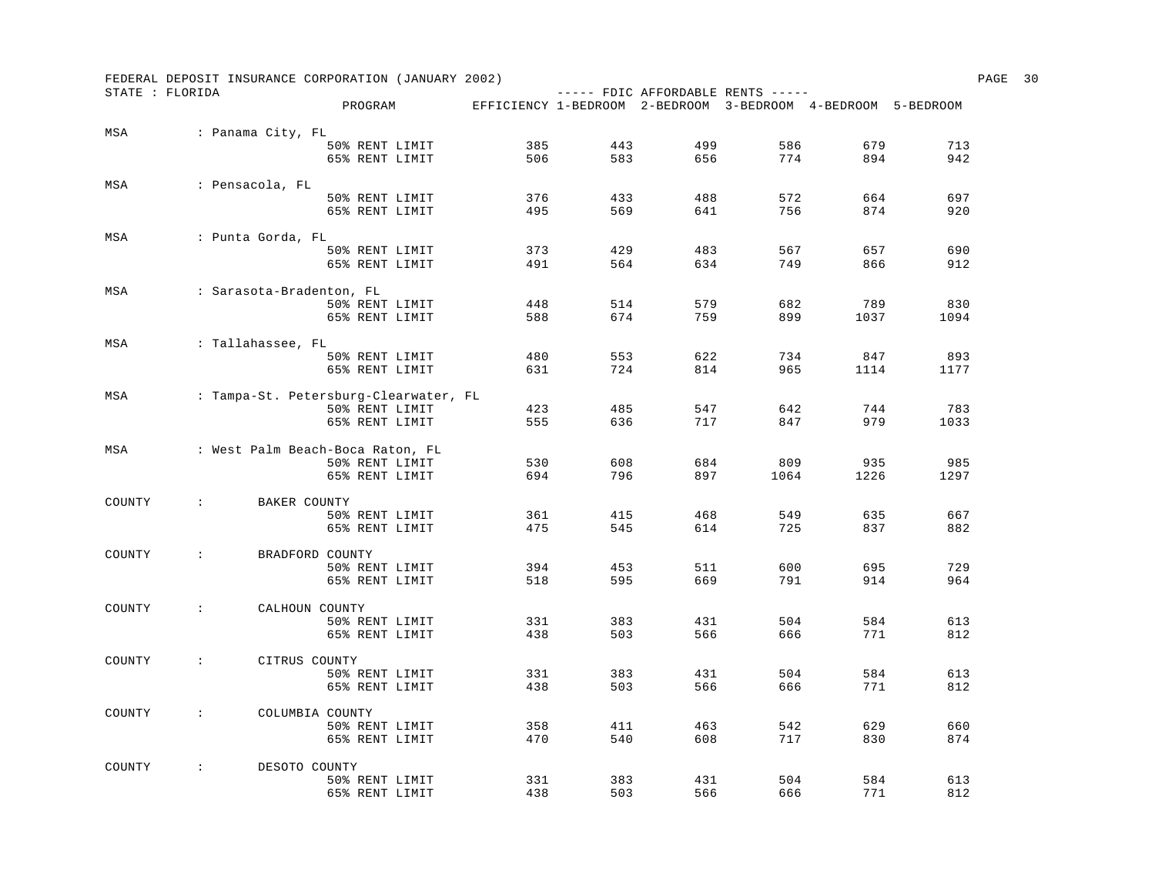|                 |                                      | FEDERAL DEPOSIT INSURANCE CORPORATION (JANUARY 2002) |                                                              |     |                                   |      |      |      | PAGE | 30 |
|-----------------|--------------------------------------|------------------------------------------------------|--------------------------------------------------------------|-----|-----------------------------------|------|------|------|------|----|
| STATE : FLORIDA |                                      | PROGRAM                                              | EFFICIENCY 1-BEDROOM 2-BEDROOM 3-BEDROOM 4-BEDROOM 5-BEDROOM |     | $---$ FDIC AFFORDABLE RENTS $---$ |      |      |      |      |    |
|                 |                                      |                                                      |                                                              |     |                                   |      |      |      |      |    |
| MSA             | : Panama City, FL                    |                                                      |                                                              |     |                                   |      |      |      |      |    |
|                 |                                      | 50% RENT LIMIT                                       | 385                                                          | 443 | 499                               | 586  | 679  | 713  |      |    |
|                 |                                      | 65% RENT LIMIT                                       | 506                                                          | 583 | 656                               | 774  | 894  | 942  |      |    |
| MSA             | : Pensacola, FL                      |                                                      |                                                              |     |                                   |      |      |      |      |    |
|                 |                                      | 50% RENT LIMIT                                       | 376                                                          | 433 | 488                               | 572  | 664  | 697  |      |    |
|                 |                                      | 65% RENT LIMIT                                       | 495                                                          | 569 | 641                               | 756  | 874  | 920  |      |    |
| MSA             | : Punta Gorda, FL                    |                                                      |                                                              |     |                                   |      |      |      |      |    |
|                 |                                      | 50% RENT LIMIT                                       | 373                                                          | 429 | 483                               | 567  | 657  | 690  |      |    |
|                 |                                      | 65% RENT LIMIT                                       | 491                                                          | 564 | 634                               | 749  | 866  | 912  |      |    |
| MSA             | : Sarasota-Bradenton, FL             |                                                      |                                                              |     |                                   |      |      |      |      |    |
|                 |                                      | 50% RENT LIMIT                                       | 448                                                          | 514 | 579                               | 682  | 789  | 830  |      |    |
|                 |                                      | 65% RENT LIMIT                                       | 588                                                          | 674 | 759                               | 899  | 1037 | 1094 |      |    |
| MSA             | : Tallahassee, FL                    |                                                      |                                                              |     |                                   |      |      |      |      |    |
|                 |                                      | 50% RENT LIMIT                                       | 480                                                          | 553 | 622                               | 734  | 847  | 893  |      |    |
|                 |                                      | 65% RENT LIMIT                                       | 631                                                          | 724 | 814                               | 965  | 1114 | 1177 |      |    |
| MSA             |                                      | : Tampa-St. Petersburg-Clearwater, FL                |                                                              |     |                                   |      |      |      |      |    |
|                 |                                      | 50% RENT LIMIT                                       | 423                                                          | 485 | 547                               | 642  | 744  | 783  |      |    |
|                 |                                      | 65% RENT LIMIT                                       | 555                                                          | 636 | 717                               | 847  | 979  | 1033 |      |    |
| MSA             |                                      | : West Palm Beach-Boca Raton, FL                     |                                                              |     |                                   |      |      |      |      |    |
|                 |                                      | 50% RENT LIMIT                                       | 530                                                          | 608 | 684                               | 809  | 935  | 985  |      |    |
|                 |                                      | 65% RENT LIMIT                                       | 694                                                          | 796 | 897                               | 1064 | 1226 | 1297 |      |    |
| COUNTY          | $\ddot{\phantom{a}}$<br>BAKER COUNTY |                                                      |                                                              |     |                                   |      |      |      |      |    |
|                 |                                      | 50% RENT LIMIT                                       | 361                                                          | 415 | 468                               | 549  | 635  | 667  |      |    |
|                 |                                      | 65% RENT LIMIT                                       | 475                                                          | 545 | 614                               | 725  | 837  | 882  |      |    |
| COUNTY          | $\mathcal{L}$                        | BRADFORD COUNTY                                      |                                                              |     |                                   |      |      |      |      |    |
|                 |                                      | 50% RENT LIMIT                                       | 394                                                          | 453 | 511                               | 600  | 695  | 729  |      |    |
|                 |                                      | 65% RENT LIMIT                                       | 518                                                          | 595 | 669                               | 791  | 914  | 964  |      |    |
| COUNTY          | $\cdot$ :                            | CALHOUN COUNTY                                       |                                                              |     |                                   |      |      |      |      |    |
|                 |                                      | 50% RENT LIMIT                                       | 331                                                          | 383 | 431                               | 504  | 584  | 613  |      |    |
|                 |                                      | 65% RENT LIMIT                                       | 438                                                          | 503 | 566                               | 666  | 771  | 812  |      |    |
| COUNTY          | $\mathcal{L}$                        | CITRUS COUNTY                                        |                                                              |     |                                   |      |      |      |      |    |
|                 |                                      | 50% RENT LIMIT                                       | 331                                                          | 383 | 431                               | 504  | 584  | 613  |      |    |
|                 |                                      | 65% RENT LIMIT                                       | 438                                                          | 503 | 566                               | 666  | 771  | 812  |      |    |
| COUNTY          | $\sim$ 100 $\sim$                    | COLUMBIA COUNTY                                      |                                                              |     |                                   |      |      |      |      |    |
|                 |                                      | 50% RENT LIMIT                                       | 358                                                          | 411 | 463                               | 542  | 629  | 660  |      |    |
|                 |                                      | 65% RENT LIMIT                                       | 470                                                          | 540 | 608                               | 717  | 830  | 874  |      |    |
| COUNTY          | $\sim 100$<br>DESOTO COUNTY          |                                                      |                                                              |     |                                   |      |      |      |      |    |
|                 |                                      | 50% RENT LIMIT                                       | 331                                                          | 383 | 431                               | 504  | 584  | 613  |      |    |
|                 |                                      | 65% RENT LIMIT                                       | 438                                                          | 503 | 566                               | 666  | 771  | 812  |      |    |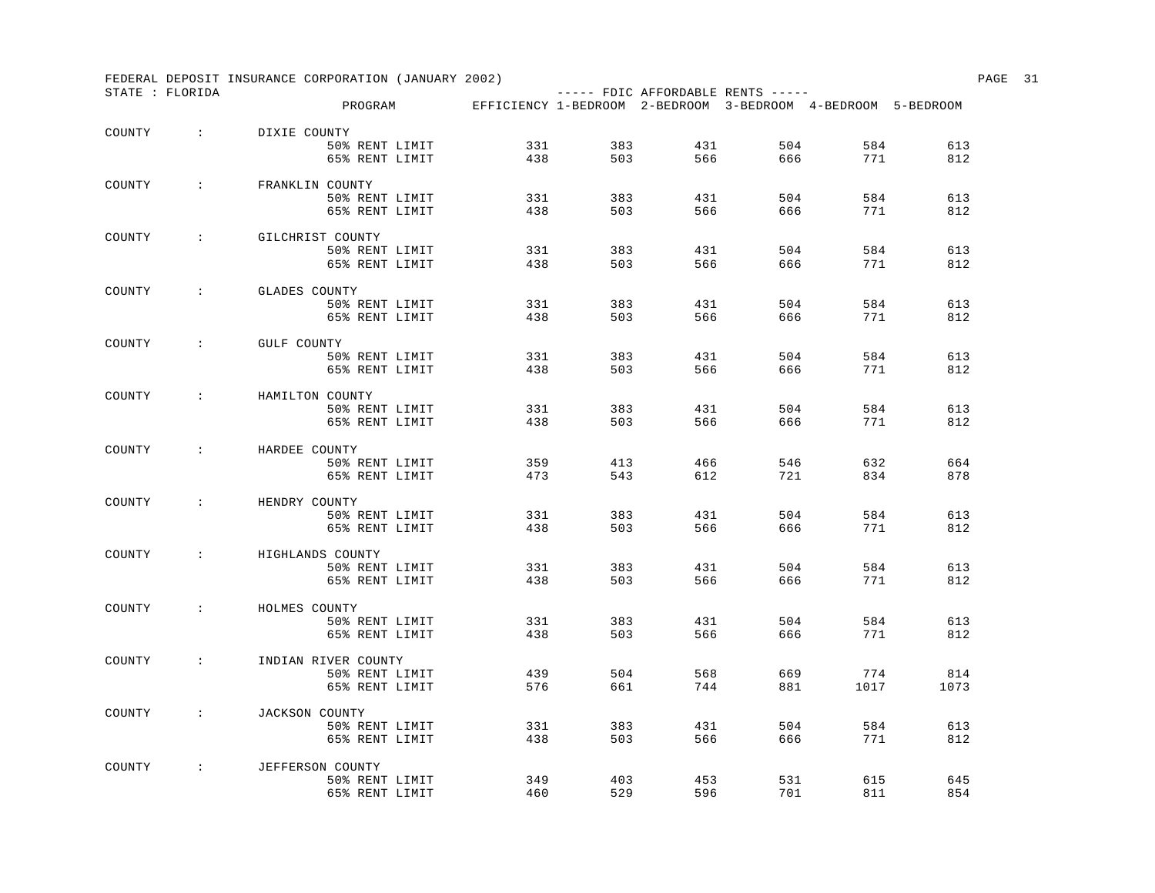|        |                    | FEDERAL DEPOSIT INSURANCE CORPORATION (JANUARY 2002)                 |     |     |                                   |     |      |      | PAGE 31 |  |
|--------|--------------------|----------------------------------------------------------------------|-----|-----|-----------------------------------|-----|------|------|---------|--|
|        | STATE : FLORIDA    | PROGRAM EFFICIENCY 1-BEDROOM 2-BEDROOM 3-BEDROOM 4-BEDROOM 5-BEDROOM |     |     | $---$ FDIC AFFORDABLE RENTS $---$ |     |      |      |         |  |
|        |                    |                                                                      |     |     |                                   |     |      |      |         |  |
| COUNTY | <b>Contractor</b>  | DIXIE COUNTY                                                         |     |     |                                   |     |      |      |         |  |
|        |                    | 50% RENT LIMIT                                                       | 331 | 383 | 431                               | 504 | 584  | 613  |         |  |
|        |                    | 65% RENT LIMIT                                                       | 438 | 503 | 566                               | 666 | 771  | 812  |         |  |
| COUNTY | $\sim$ $\sim$      | FRANKLIN COUNTY                                                      |     |     |                                   |     |      |      |         |  |
|        |                    | 50% RENT LIMIT                                                       | 331 | 383 | 431                               | 504 | 584  | 613  |         |  |
|        |                    | 65% RENT LIMIT                                                       | 438 | 503 | 566                               | 666 | 771  | 812  |         |  |
| COUNTY | $\sim 100$         | GILCHRIST COUNTY                                                     |     |     |                                   |     |      |      |         |  |
|        |                    | 50% RENT LIMIT                                                       | 331 | 383 | 431                               | 504 | 584  | 613  |         |  |
|        |                    | 65% RENT LIMIT                                                       | 438 | 503 | 566                               | 666 | 771  | 812  |         |  |
| COUNTY | $\sim$             | GLADES COUNTY                                                        |     |     |                                   |     |      |      |         |  |
|        |                    | 50% RENT LIMIT                                                       | 331 | 383 | 431                               | 504 | 584  | 613  |         |  |
|        |                    | 65% RENT LIMIT                                                       | 438 | 503 | 566                               | 666 | 771  | 812  |         |  |
| COUNTY | $\sim$ 100 $\sim$  | GULF COUNTY                                                          |     |     |                                   |     |      |      |         |  |
|        |                    | 50% RENT LIMIT                                                       | 331 | 383 | 431                               | 504 | 584  | 613  |         |  |
|        |                    | 65% RENT LIMIT                                                       | 438 | 503 | 566                               | 666 | 771  | 812  |         |  |
| COUNTY | $\sim$ 100 $\sim$  | HAMILTON COUNTY                                                      |     |     |                                   |     |      |      |         |  |
|        |                    | 50% RENT LIMIT                                                       | 331 | 383 | 431                               | 504 | 584  | 613  |         |  |
|        |                    | 65% RENT LIMIT                                                       | 438 | 503 | 566                               | 666 | 771  | 812  |         |  |
| COUNTY | $\sim$ 1.000 $\pm$ | HARDEE COUNTY                                                        |     |     |                                   |     |      |      |         |  |
|        |                    | 50% RENT LIMIT                                                       | 359 | 413 | 466                               | 546 | 632  | 664  |         |  |
|        |                    | 65% RENT LIMIT                                                       | 473 | 543 | 612                               | 721 | 834  | 878  |         |  |
| COUNTY | $\sim 100$         | HENDRY COUNTY                                                        |     |     |                                   |     |      |      |         |  |
|        |                    | 50% RENT LIMIT                                                       | 331 | 383 | 431                               | 504 | 584  | 613  |         |  |
|        |                    | 65% RENT LIMIT                                                       | 438 | 503 | 566                               | 666 | 771  | 812  |         |  |
| COUNTY | $\sim$ 100 $\sim$  | HIGHLANDS COUNTY                                                     |     |     |                                   |     |      |      |         |  |
|        |                    | 50% RENT LIMIT                                                       | 331 | 383 | 431                               | 504 | 584  | 613  |         |  |
|        |                    | 65% RENT LIMIT                                                       | 438 | 503 | 566                               | 666 | 771  | 812  |         |  |
| COUNTY | $\cdot$ :          | HOLMES COUNTY                                                        |     |     |                                   |     |      |      |         |  |
|        |                    | 50% RENT LIMIT                                                       | 331 | 383 | 431                               | 504 | 584  | 613  |         |  |
|        |                    | 65% RENT LIMIT                                                       | 438 | 503 | 566                               | 666 | 771  | 812  |         |  |
| COUNTY | $\mathcal{L}$      | INDIAN RIVER COUNTY                                                  |     |     |                                   |     |      |      |         |  |
|        |                    | 50% RENT LIMIT                                                       | 439 | 504 | 568                               | 669 | 774  | 814  |         |  |
|        |                    | 65% RENT LIMIT                                                       | 576 | 661 | 744                               | 881 | 1017 | 1073 |         |  |
| COUNTY | $\mathbb{R}^n$     | JACKSON COUNTY                                                       |     |     |                                   |     |      |      |         |  |
|        |                    | 50% RENT LIMIT                                                       | 331 | 383 | 431                               | 504 | 584  | 613  |         |  |
|        |                    | 65% RENT LIMIT                                                       | 438 | 503 | 566                               | 666 | 771  | 812  |         |  |
| COUNTY | $\sim 100$         | JEFFERSON COUNTY                                                     |     |     |                                   |     |      |      |         |  |
|        |                    | 50% RENT LIMIT                                                       | 349 | 403 | 453                               | 531 | 615  | 645  |         |  |
|        |                    | 65% RENT LIMIT                                                       | 460 | 529 | 596                               | 701 | 811  | 854  |         |  |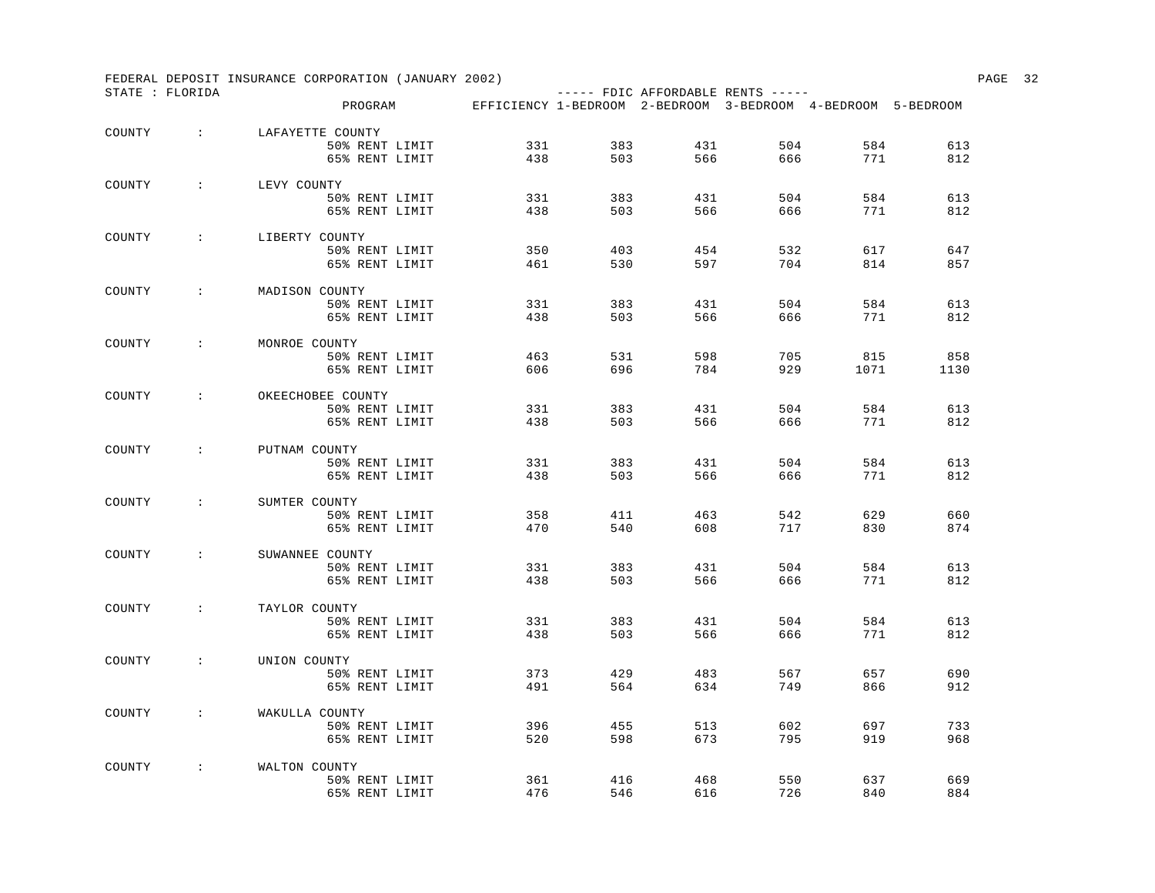|        |                           |             | FEDERAL DEPOSIT INSURANCE CORPORATION (JANUARY 2002)                 |            |            |     |                                   |            |            | PAGE 32 |  |
|--------|---------------------------|-------------|----------------------------------------------------------------------|------------|------------|-----|-----------------------------------|------------|------------|---------|--|
|        | STATE : FLORIDA           |             | PROGRAM EFFICIENCY 1-BEDROOM 2-BEDROOM 3-BEDROOM 4-BEDROOM 5-BEDROOM |            |            |     | $---$ FDIC AFFORDABLE RENTS $---$ |            |            |         |  |
| COUNTY | $\sim 100$                |             | LAFAYETTE COUNTY                                                     |            |            |     |                                   |            |            |         |  |
|        |                           |             | 50% RENT LIMIT                                                       | 331        | 383        | 431 | 504                               | 584        | 613        |         |  |
|        |                           |             | 65% RENT LIMIT                                                       | 438        | 503        | 566 | 666                               | 771        | 812        |         |  |
| COUNTY | $\sim 1000$ km s $^{-1}$  | LEVY COUNTY |                                                                      |            |            |     |                                   |            |            |         |  |
|        |                           |             | 50% RENT LIMIT                                                       | 331        | 383        | 431 | 504                               | 584        | 613        |         |  |
|        |                           |             | 65% RENT LIMIT                                                       | 438        | 503        | 566 | 666                               | 771        | 812        |         |  |
| COUNTY | $\sim$ 1.000 $\pm$        |             | LIBERTY COUNTY                                                       |            |            |     |                                   |            |            |         |  |
|        |                           |             | 50% RENT LIMIT                                                       | 350        | 403        | 454 | 532                               | 617        | 647        |         |  |
|        |                           |             | 65% RENT LIMIT                                                       | 461        | 530        | 597 | 704                               | 814        | 857        |         |  |
| COUNTY | $\sim$ 100 $\sim$         |             | MADISON COUNTY                                                       |            |            |     |                                   |            |            |         |  |
|        |                           |             | 50% RENT LIMIT                                                       | 331        | 383        | 431 | 504                               | 584        | 613        |         |  |
|        |                           |             | 65% RENT LIMIT                                                       | 438        | 503        | 566 | 666                               | 771        | 812        |         |  |
| COUNTY | $\sim$ 100 $\sim$         |             | MONROE COUNTY                                                        |            |            |     |                                   |            |            |         |  |
|        |                           |             | 50% RENT LIMIT                                                       | 463        | 531        | 598 | 705                               | 815        | 858        |         |  |
|        |                           |             | 65% RENT LIMIT                                                       | 606        | 696        | 784 | 929                               | 1071       | 1130       |         |  |
| COUNTY | $\sim$ 100 $\sim$         |             | OKEECHOBEE COUNTY                                                    |            |            |     |                                   |            |            |         |  |
|        |                           |             | 50% RENT LIMIT                                                       | 331        | 383        | 431 | 504                               | 584        | 613        |         |  |
|        |                           |             | 65% RENT LIMIT                                                       | 438        | 503        | 566 | 666                               | 771        | 812        |         |  |
| COUNTY | $\sim$ 100 $\sim$         |             | PUTNAM COUNTY                                                        |            |            |     |                                   |            |            |         |  |
|        |                           |             | 50% RENT LIMIT                                                       | 331        | 383        | 431 | 504                               | 584        | 613        |         |  |
|        |                           |             | 65% RENT LIMIT                                                       | 438        | 503        | 566 | 666                               | 771        | 812        |         |  |
| COUNTY | $\mathcal{L}$             |             | SUMTER COUNTY                                                        |            |            |     |                                   |            |            |         |  |
|        |                           |             | 50% RENT LIMIT                                                       | 358        | 411        | 463 | 542                               | 629        | 660        |         |  |
|        |                           |             | 65% RENT LIMIT                                                       | 470        | 540        | 608 | 717                               | 830        | 874        |         |  |
| COUNTY | $\sim 1000$ km s $^{-1}$  |             | SUWANNEE COUNTY                                                      |            |            |     |                                   |            |            |         |  |
|        |                           |             | 50% RENT LIMIT                                                       | 331<br>438 | 383<br>503 | 431 | 504                               | 584<br>771 | 613<br>812 |         |  |
|        |                           |             | 65% RENT LIMIT                                                       |            |            | 566 | 666                               |            |            |         |  |
| COUNTY | $\sim$ 100 $\sim$         |             | TAYLOR COUNTY                                                        |            |            |     |                                   |            |            |         |  |
|        |                           |             | 50% RENT LIMIT                                                       | 331        | 383        | 431 | 504                               | 584        | 613        |         |  |
|        |                           |             | 65% RENT LIMIT                                                       | 438        | 503        | 566 | 666                               | 771        | 812        |         |  |
| COUNTY | $\cdot$ :                 |             | UNION COUNTY                                                         |            |            |     |                                   |            |            |         |  |
|        |                           |             | 50% RENT LIMIT                                                       | 373        | 429        | 483 | 567                               | 657        | 690        |         |  |
|        |                           |             | 65% RENT LIMIT                                                       | 491        | 564        | 634 | 749                               | 866        | 912        |         |  |
| COUNTY | $\sim 10^{-10}$ m $^{-1}$ |             | WAKULLA COUNTY                                                       |            |            |     |                                   |            |            |         |  |
|        |                           |             | 50% RENT LIMIT                                                       | 396        | 455        | 513 | 602                               | 697        | 733        |         |  |
|        |                           |             | 65% RENT LIMIT                                                       | 520        | 598        | 673 | 795                               | 919        | 968        |         |  |
| COUNTY | $\sim 100$                |             | WALTON COUNTY                                                        |            |            |     |                                   |            |            |         |  |
|        |                           |             | 50% RENT LIMIT                                                       | 361        | 416        | 468 | 550                               | 637        | 669        |         |  |
|        |                           |             | 65% RENT LIMIT                                                       | 476        | 546        | 616 | 726                               | 840        | 884        |         |  |